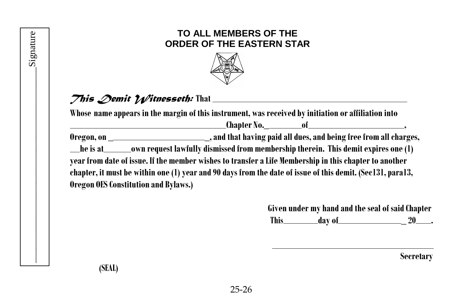## **TO ALL MEMBERS OF THE ORDER OF THE EASTERN STAR**



## *This Demit Witnesseth:* **That**

**Whose nameappears in the margin of this instrument, was received byinitiation oraffiliation into**

**Chapter No.\_ of , Oregon, on \_ \_,and that having paid all dues,and being freefrom allcharges,**

**heisat own request lawfully dismissed from membership therein. This demitexpires one(1)**

**yearfrom date of issue. If the member wishes to transferaLife Membership in thischapter to another** chapter, it must be within one (1) year and 90 days from the date of issue of this demit. (Sec131, para13, **Oregon OES Constitution and Bylaws.)** 

> **Given under my hand and theseal of said Chapter This day of \_ 20 .**

> > **Secretary**